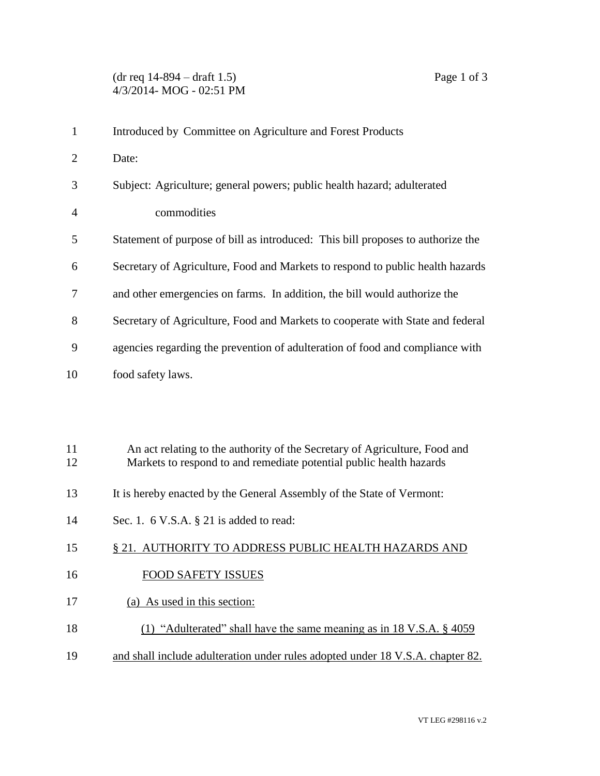| $\mathbf{1}$   | Introduced by Committee on Agriculture and Forest Products                                                                                        |
|----------------|---------------------------------------------------------------------------------------------------------------------------------------------------|
| $\overline{2}$ | Date:                                                                                                                                             |
| 3              | Subject: Agriculture; general powers; public health hazard; adulterated                                                                           |
| 4              | commodities                                                                                                                                       |
| 5              | Statement of purpose of bill as introduced: This bill proposes to authorize the                                                                   |
| 6              | Secretary of Agriculture, Food and Markets to respond to public health hazards                                                                    |
| 7              | and other emergencies on farms. In addition, the bill would authorize the                                                                         |
| 8              | Secretary of Agriculture, Food and Markets to cooperate with State and federal                                                                    |
| 9              | agencies regarding the prevention of adulteration of food and compliance with                                                                     |
| 10             | food safety laws.                                                                                                                                 |
|                |                                                                                                                                                   |
|                |                                                                                                                                                   |
| 11<br>12       | An act relating to the authority of the Secretary of Agriculture, Food and<br>Markets to respond to and remediate potential public health hazards |
| 13             | It is hereby enacted by the General Assembly of the State of Vermont:                                                                             |
| 14             | Sec. 1. $6$ V.S.A. $\S$ 21 is added to read:                                                                                                      |
| 15             | § 21. AUTHORITY TO ADDRESS PUBLIC HEALTH HAZARDS AND                                                                                              |
| 16             | <b>FOOD SAFETY ISSUES</b>                                                                                                                         |
| 17             | (a) As used in this section:                                                                                                                      |

- 18 (1) "Adulterated" shall have the same meaning as in 18 V.S.A. § 4059
- 19 and shall include adulteration under rules adopted under 18 V.S.A. chapter 82.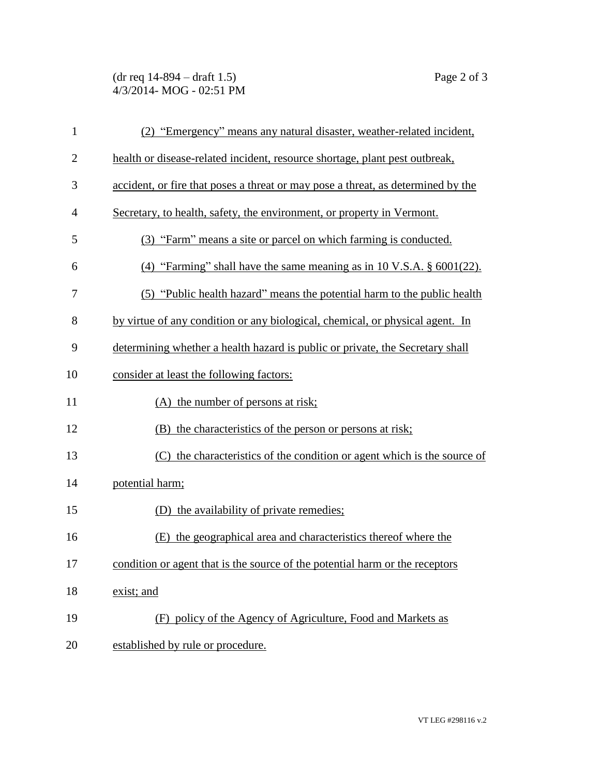## (dr req 14-894 – draft 1.5) Page 2 of 3 4/3/2014- MOG - 02:51 PM

| $\mathbf{1}$   | (2) "Emergency" means any natural disaster, weather-related incident,            |
|----------------|----------------------------------------------------------------------------------|
| $\overline{2}$ | health or disease-related incident, resource shortage, plant pest outbreak,      |
| 3              | accident, or fire that poses a threat or may pose a threat, as determined by the |
| $\overline{4}$ | Secretary, to health, safety, the environment, or property in Vermont.           |
| 5              | (3) "Farm" means a site or parcel on which farming is conducted.                 |
| 6              | (4) "Farming" shall have the same meaning as in 10 V.S.A. $\S$ 6001(22).         |
| 7              | (5) "Public health hazard" means the potential harm to the public health         |
| 8              | by virtue of any condition or any biological, chemical, or physical agent. In    |
| 9              | determining whether a health hazard is public or private, the Secretary shall    |
| 10             | consider at least the following factors:                                         |
| 11             | (A) the number of persons at risk;                                               |
| 12             | (B) the characteristics of the person or persons at risk;                        |
| 13             | (C) the characteristics of the condition or agent which is the source of         |
| 14             | potential harm;                                                                  |
| 15             | (D) the availability of private remedies;                                        |
| 16             | (E) the geographical area and characteristics thereof where the                  |
| 17             | condition or agent that is the source of the potential harm or the receptors     |
| 18             | exist; and                                                                       |
| 19             | (F) policy of the Agency of Agriculture, Food and Markets as                     |
| 20             | established by rule or procedure.                                                |